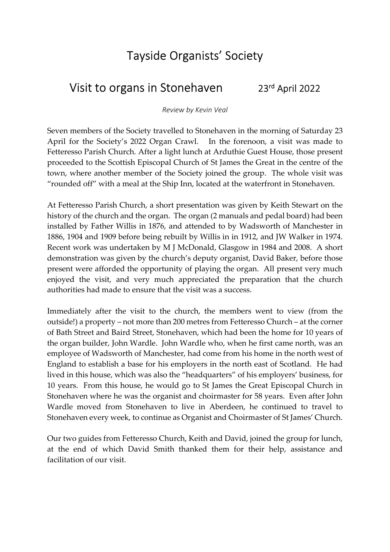## Tayside Organists' Society

## Visit to organs in Stonehaven 23rd April 2022

Review by Kevin Veal

Seven members of the Society travelled to Stonehaven in the morning of Saturday 23 April for the Society's 2022 Organ Crawl. In the forenoon, a visit was made to Fetteresso Parish Church. After a light lunch at Arduthie Guest House, those present proceeded to the Scottish Episcopal Church of St James the Great in the centre of the town, where another member of the Society joined the group. The whole visit was "rounded off" with a meal at the Ship Inn, located at the waterfront in Stonehaven.

At Fetteresso Parish Church, a short presentation was given by Keith Stewart on the history of the church and the organ. The organ (2 manuals and pedal board) had been installed by Father Willis in 1876, and attended to by Wadsworth of Manchester in 1886, 1904 and 1909 before being rebuilt by Willis in in 1912, and JW Walker in 1974. Recent work was undertaken by M J McDonald, Glasgow in 1984 and 2008. A short demonstration was given by the church's deputy organist, David Baker, before those present were afforded the opportunity of playing the organ. All present very much enjoyed the visit, and very much appreciated the preparation that the church authorities had made to ensure that the visit was a success.

Immediately after the visit to the church, the members went to view (from the outside!) a property – not more than 200 metres from Fetteresso Church – at the corner of Bath Street and Baird Street, Stonehaven, which had been the home for 10 years of the organ builder, John Wardle. John Wardle who, when he first came north, was an employee of Wadsworth of Manchester, had come from his home in the north west of England to establish a base for his employers in the north east of Scotland. He had lived in this house, which was also the "headquarters" of his employers' business, for 10 years. From this house, he would go to St James the Great Episcopal Church in Stonehaven where he was the organist and choirmaster for 58 years. Even after John Wardle moved from Stonehaven to live in Aberdeen, he continued to travel to Stonehaven every week, to continue as Organist and Choirmaster of St James' Church.

Our two guides from Fetteresso Church, Keith and David, joined the group for lunch, at the end of which David Smith thanked them for their help, assistance and facilitation of our visit.